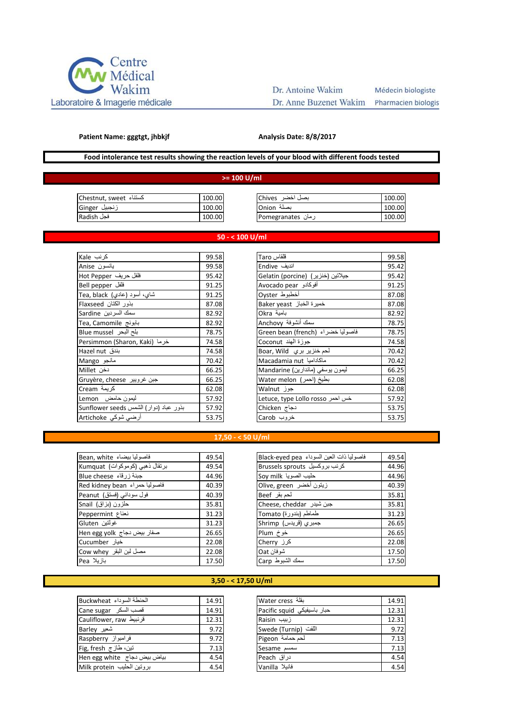

# Dr. Antoine Wakim

## Médecin biologiste

Dr. Anne Buzenet Wakim Pharmacien biologist

#### **Patient Name: gggtgt, jhbkjf**

## **Analysis Date: 8/8/2017**

## **Food intolerance test results showing the reaction levels of your blood with different foods tested**

## **>= 100 U/ml**

| کستناء  Chestnut, sweet | 100.00 | بصل اخضر _Chives  | 100.00 |
|-------------------------|--------|-------------------|--------|
| زنجبيل Ginger           | 100.00 | بصلة Onion        | 100.00 |
| فجل Radish              | 100.00 | رمان Pomegranates | 100.00 |

## **50 - < 100 U/ml**

| کر نب  Kale                            | 99.58 |
|----------------------------------------|-------|
| يانسون Anise                           | 99.58 |
| فلفل حريف Hot Pepper                   | 95.42 |
| Bell pepper                            | 91.25 |
| شای، أسود (عادي) Tea, black            | 91.25 |
| بذور الكتان Flaxseed                   | 87.08 |
| سمك السردين Sardine                    | 82.92 |
| Tea, Camomile بابونج                   | 82.92 |
| بلح البحر Blue mussel                  | 78.75 |
| Persimmon (Sharon, Kaki) خرما          | 74.58 |
| بندق Hazel nut                         | 74.58 |
| مانجو Mango                            | 70.42 |
| دخن Millet                             | 66.25 |
| Gruyère, cheese جبن غرويير             | 66.25 |
| كريمة Cream                            | 62.08 |
| ليمون حامض Lemon                       | 57.92 |
| بذور عباد (دوار) الشمس Sunflower seeds | 57.92 |
| أرضى شوكي Artichoke                    | 53.75 |

| كرنب Kale                              | 99.58 | قلقاس Taro                          | 99.58 |
|----------------------------------------|-------|-------------------------------------|-------|
| يانسون Anise                           | 99.58 | اندیف Endive                        | 95.42 |
| فلفل حريف Hot Pepper                   | 95.42 | Gelatin (porcine)  (جيلاتين (خنزير) | 95.42 |
| Bell pepper فلفل                       | 91.25 | أفوكادو  Avocado pear               | 91.25 |
| شاي، أسود (عادي) Tea, black            | 91.25 | أخطبوط Oyster                       | 87.08 |
| بذور الكتان Flaxseed                   | 87.08 | خميرة الخباز Baker yeast            | 87.08 |
| سمك السردين Sardine                    | 82.92 | بامية Okra                          | 82.92 |
| Tea, Camomile بابونج                   | 82.92 | سمك أنشوفة Anchovy                  | 78.75 |
| بلح البحر Blue mussel                  | 78.75 | فاصوليا خضراء (Green bean (french   | 78.75 |
| Persimmon (Sharon, Kaki) خرما          | 74.58 | جوزة الهند Coconut                  | 74.58 |
| بندق Hazel nut                         | 74.58 | لحم خنزير بري Boar, Wild            | 70.42 |
| مانجو Mango                            | 70.42 | Macadamia nut ماكاداميا             | 70.42 |
| دخن Millet                             | 66.25 | ليمون يوسفي (ماندارين) Mandarine    | 66.25 |
| Gruyère, cheese جبن غرويير             | 66.25 | Water melon (احمر)                  | 62.08 |
| كريمة Cream                            | 62.08 | جوز Walnut                          | 62.08 |
| ليمون حامض Lemon                       | 57.92 | Letuce, type Lollo rosso خس احمر    | 57.92 |
| بذور عباد (دوار) الشمس Sunflower seeds | 57.92 | دجاج Chicken                        | 53.75 |
| أرضي شوكي Artichoke                    | 53.75 | خروب Carob                          | 53.75 |
|                                        |       |                                     |       |

## **17,50 - < 50 U/ml**

| فاصوليا بيضاء Bean, white      | 49.54 | فاصوليا ذات العين السوداء Black-eyed pea | 49.54 |
|--------------------------------|-------|------------------------------------------|-------|
| برنقال ذهبي (كوموكوات) Kumquat | 49.54 | كرنب بروكسيل Brussels sprouts            | 44.96 |
| Blue cheese حبنة زرقاء         | 44.96 | حليب الصويا Soy milk                     | 44.96 |
| Aed kidney bean فاصوليا حمراء  | 40.39 | زيتون أخضر  Olive, green                 | 40.39 |
| فول سوداني (فستق) Peanut       | 40.39 | لحم بقر Beef                             | 35.81 |
| حلزون (بزاق) Snail             | 35.81 | Cheese, cheddar جبن شيدر                 | 35.81 |
| نعناع Peppermint               | 31.23 | طماطم (بندورة) Tomato                    | 31.23 |
| غولتين Gluten                  | 31.23 | جمبري (قريدس) Shrimp                     | 26.65 |
| صفار بیض دجاج Hen egg yolk     | 26.65 | خوخ Plum                                 | 26.65 |
| خیار Cucumber                  | 22.08 | کرز Cherry                               | 22.08 |
| مصل لبن البقر Cow whey         | 22.08 | شو فان Oat                               | 17.50 |
| بازيلا Pea                     | 17.50 | سمك الشبوط Carp                          | 17.50 |
|                                |       |                                          |       |

## **3,50 - < 17,50 U/ml**

| الحنطة السوداء Buckwheat      | 14.91 |
|-------------------------------|-------|
| Gane sugar فصب السكر          | 14.91 |
| قرنبيط Cauliflower, raw       | 12.31 |
| شعیر Barley                   | 9.72  |
| فرامبواز Raspberry            | 9.72  |
| تين، طاز ج Fig, fresh         | 7.13  |
| بیاض بیض دجاج   Hen egg white | 4.54  |
| بروتين الحليب Milk protein    | 4.54  |

| الحنطة السوداء Buckwheat    | 14.91 | Water cress                 | 14.91 |
|-----------------------------|-------|-----------------------------|-------|
| قصب السكر Cane sugar        | 14.91 | Pacific squid حبار باسيفيكي | 12.31 |
| قرنبيط Cauliflower, raw     | 12.31 | زبیب Raisin                 | 12.31 |
| شعیر Barley                 | 9.72  | Swede (Turnip) اللُّفت      | 9.72  |
| فرامبواز Raspberry          | 9.72  | لحم حمامة Pigeon            | 7.13  |
| تين، طاز ج Fig, fresh       | 7.13  | Sesame سمسم                 | 7.13  |
| بیاض بیض دجاج Hen egg white | 4.54  | دراق Peach                  | 4.54  |
| بروتين الحليب  Milk protein | 4.54  | فانيلا Vanilla              | 4.54  |
|                             |       |                             |       |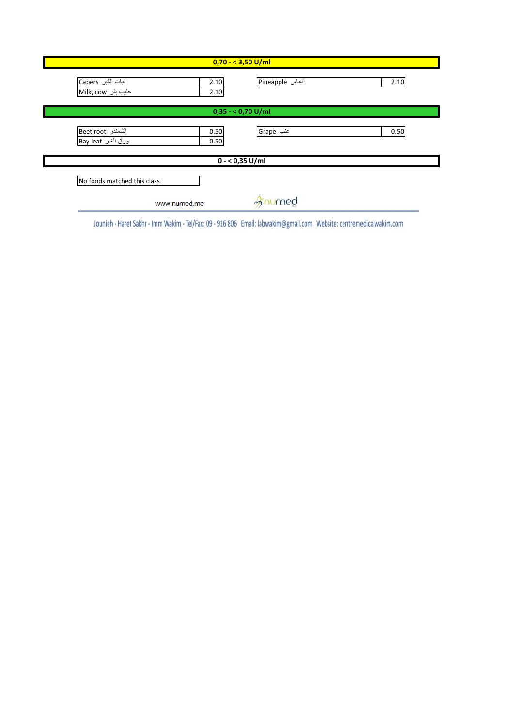| $0,70 - 3,50$ U/ml                      |                                          |  |
|-----------------------------------------|------------------------------------------|--|
| نبات الكبر Capers<br>Milk, cow حليب بقر | Pineapple أناناس<br>2.10<br>2.10<br>2.10 |  |
| $0,35 - 0,70$ U/ml                      |                                          |  |
| الشمندر Beet root<br>ورق الغار Bay leaf | عنب Grape<br>0.50<br>0.50<br>0.50        |  |
|                                         | $0 - 0,35$ U/ml                          |  |
| No foods matched this class             |                                          |  |
| www.numed.me                            | imed                                     |  |

Jounieh - Haret Sakhr - Imm Wakim - Tel/Fax: 09 - 916 806 Email: labwakim@gmail.com Website: centremedicalwakim.com